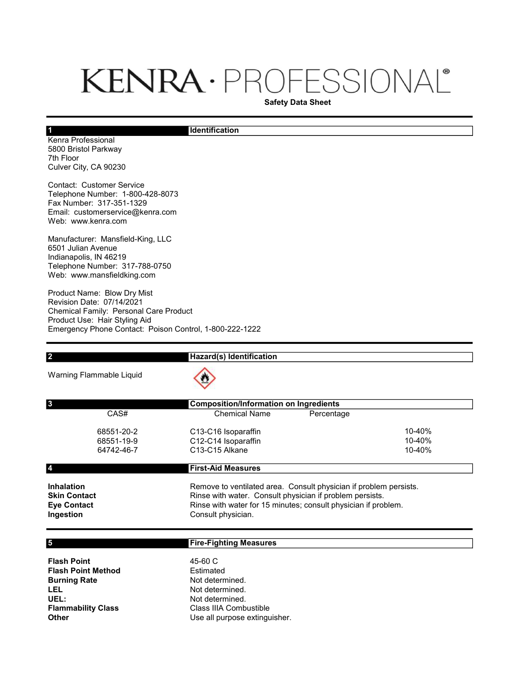# KENRA · PROFESSIONAL®

Safety Data Sheet

#### **Identification**

Kenra Professional 5800 Bristol Parkway 7th Floor Culver City, CA 90230

1

Contact: Customer Service Telephone Number: 1-800-428-8073 Fax Number: 317-351-1329 Email: customerservice@kenra.com Web: www.kenra.com

Manufacturer: Mansfield-King, LLC 6501 Julian Avenue Indianapolis, IN 46219 Telephone Number: 317-788-0750 Web: www.mansfieldking.com

Product Name: Blow Dry Mist Revision Date: 07/14/2021 Chemical Family: Personal Care Product Product Use: Hair Styling Aid Emergency Phone Contact: Poison Control, 1-800-222-1222

| <b>Hazard(s) Identification</b>                                                                                                                                                                                       |                               |
|-----------------------------------------------------------------------------------------------------------------------------------------------------------------------------------------------------------------------|-------------------------------|
|                                                                                                                                                                                                                       |                               |
| <b>Composition/Information on Ingredients</b>                                                                                                                                                                         |                               |
| <b>Chemical Name</b><br>Percentage                                                                                                                                                                                    |                               |
| C13-C16 Isoparaffin<br>C12-C14 Isoparaffin<br>C <sub>13</sub> -C <sub>15</sub> Alkane                                                                                                                                 | 10-40%<br>10-40%<br>10-40%    |
| <b>First-Aid Measures</b>                                                                                                                                                                                             |                               |
| Remove to ventilated area. Consult physician if problem persists.<br>Rinse with water. Consult physician if problem persists.<br>Rinse with water for 15 minutes; consult physician if problem.<br>Consult physician. |                               |
| <b>Fire-Fighting Measures</b>                                                                                                                                                                                         |                               |
| 45-60 C<br>Estimated<br>Not determined.<br>Not determined.<br>Not determined.<br>Class IIIA Combustible                                                                                                               |                               |
|                                                                                                                                                                                                                       | Use all purpose extinguisher. |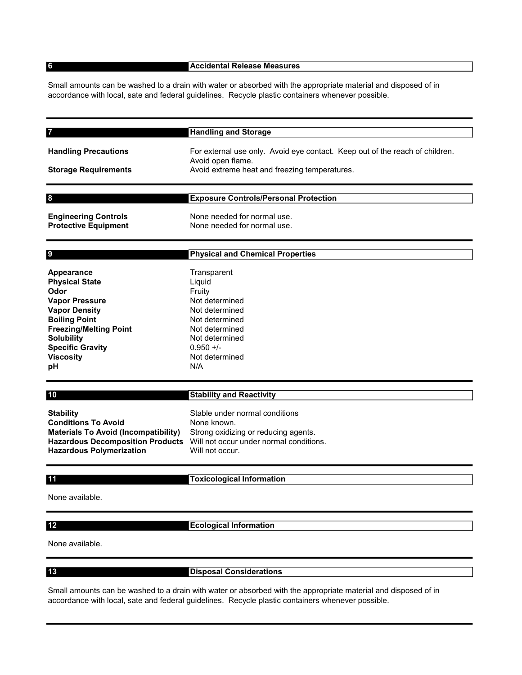6

9

#### Accidental Release Measures

Small amounts can be washed to a drain with water or absorbed with the appropriate material and disposed of in accordance with local, sate and federal guidelines. Recycle plastic containers whenever possible.

| <b>Handling and Storage</b>                                                                       |
|---------------------------------------------------------------------------------------------------|
| For external use only. Avoid eye contact. Keep out of the reach of children.<br>Avoid open flame. |
| Avoid extreme heat and freezing temperatures.                                                     |
|                                                                                                   |
| <b>Exposure Controls/Personal Protection</b>                                                      |
|                                                                                                   |

Engineering Controls None needed for normal use. Protective Equipment None needed for normal use.

#### Physical and Chemical Properties

| Transparent<br>Liguid<br>Fruity<br>Not determined<br>Not determined<br>Not determined<br>Not determined<br>Not determined<br>$0.950 +/-$<br>Not determined |
|------------------------------------------------------------------------------------------------------------------------------------------------------------|
| N/A                                                                                                                                                        |
|                                                                                                                                                            |

#### Stability and Reactivity

Stability Stable under normal conditions Conditions To Avoid None known. Materials To Avoid (Incompatibility) Strong oxidizing or reducing agents. Hazardous Polymerization Will not occur.

Hazardous Decomposition Products Will not occur under normal conditions.

### 11

10

## Toxicological Information

None available.

## 12

Ecological Information

None available.

13

Disposal Considerations

Small amounts can be washed to a drain with water or absorbed with the appropriate material and disposed of in accordance with local, sate and federal guidelines. Recycle plastic containers whenever possible.